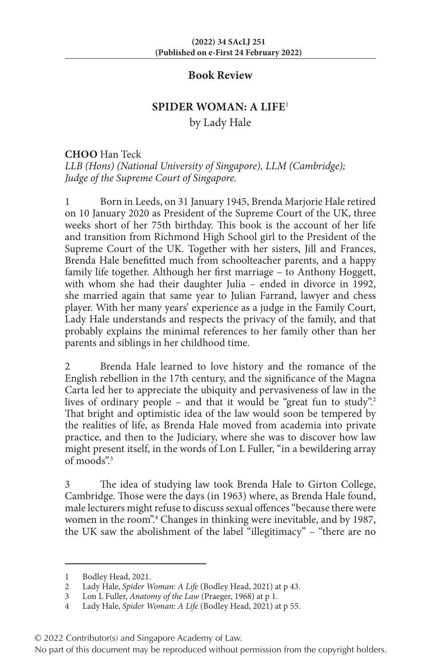## **Book Review**

## **SPIDER WOMAN: A LIFE**<sup>1</sup>

by Lady Hale

## **CHOO** Han Teck

*LLB (Hons) (National University of Singapore), LLM (Cambridge); Judge of the Supreme Court of Singapore.*

1 Born in Leeds, on 31 January 1945, Brenda Marjorie Hale retired on 10 January 2020 as President of the Supreme Court of the UK, three weeks short of her 75th birthday. This book is the account of her life and transition from Richmond High School girl to the President of the Supreme Court of the UK. Together with her sisters, Jill and Frances, Brenda Hale benefitted much from schoolteacher parents, and a happy family life together. Although her first marriage – to Anthony Hoggett, with whom she had their daughter Julia - ended in divorce in 1992, she married again that same year to Julian Farrand, lawyer and chess player. With her many years' experience as a judge in the Family Court, Lady Hale understands and respects the privacy of the family, and that probably explains the minimal references to her family other than her parents and siblings in her childhood time.

2 Brenda Hale learned to love history and the romance of the English rebellion in the 17th century, and the significance of the Magna Carta led her to appreciate the ubiquity and pervasiveness of law in the lives of ordinary people – and that it would be "great fun to study".<sup>2</sup> That bright and optimistic idea of the law would soon be tempered by the realities of life, as Brenda Hale moved from academia into private practice, and then to the Judiciary, where she was to discover how law might present itself, in the words of Lon L Fuller, "in a bewildering array of moods".3

3 The idea of studying law took Brenda Hale to Girton College, Cambridge. Those were the days (in 1963) where, as Brenda Hale found, male lecturers might refuse to discuss sexual offences "because there were women in the room".<sup>4</sup> Changes in thinking were inevitable, and by 1987, the UK saw the abolishment of the label "illegitimacy" – "there are no

No part of this document may be reproduced without permission from the copyright holders.

<sup>1</sup> Bodley Head, 2021.<br>2 Lady Hale, Spider W

<sup>2</sup> Lady Hale, *Spider Woman: A Life* (Bodley Head, 2021) at p 43.

<sup>3</sup> Lon L Fuller, *Anatomy of the Law* (Praeger, 1968) at p 1.

<sup>4</sup> Lady Hale, *Spider Woman: A Life* (Bodley Head, 2021) at p 55.

<sup>© 2022</sup> Contributor(s) and Singapore Academy of Law.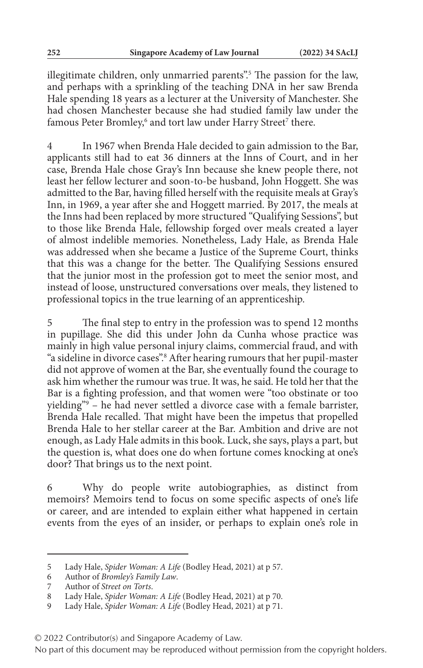illegitimate children, only unmarried parents".<sup>5</sup> The passion for the law, and perhaps with a sprinkling of the teaching DNA in her saw Brenda Hale spending 18 years as a lecturer at the University of Manchester. She had chosen Manchester because she had studied family law under the famous Peter Bromley,<sup>6</sup> and tort law under Harry Street<sup>7</sup> there.

4 In 1967 when Brenda Hale decided to gain admission to the Bar, applicants still had to eat 36 dinners at the Inns of Court, and in her case, Brenda Hale chose Gray's Inn because she knew people there, not least her fellow lecturer and soon-to-be husband, John Hoggett. She was admitted to the Bar, having filled herself with the requisite meals at Gray's Inn, in 1969, a year after she and Hoggett married. By 2017, the meals at the Inns had been replaced by more structured "Qualifying Sessions", but to those like Brenda Hale, fellowship forged over meals created a layer of almost indelible memories. Nonetheless, Lady Hale, as Brenda Hale was addressed when she became a Justice of the Supreme Court, thinks that this was a change for the better. The Qualifying Sessions ensured that the junior most in the profession got to meet the senior most, and instead of loose, unstructured conversations over meals, they listened to professional topics in the true learning of an apprenticeship.

5 The final step to entry in the profession was to spend 12 months in pupillage. She did this under John da Cunha whose practice was mainly in high value personal injury claims, commercial fraud, and with "a sideline in divorce cases".8 After hearing rumours that her pupil-master did not approve of women at the Bar, she eventually found the courage to ask him whether the rumour was true. It was, he said. He told her that the Bar is a fighting profession, and that women were "too obstinate or too yielding"9 – he had never settled a divorce case with a female barrister, Brenda Hale recalled. That might have been the impetus that propelled Brenda Hale to her stellar career at the Bar. Ambition and drive are not enough, as Lady Hale admits in this book. Luck, she says, plays a part, but the question is, what does one do when fortune comes knocking at one's door? That brings us to the next point.

6 Why do people write autobiographies, as distinct from memoirs? Memoirs tend to focus on some specific aspects of one's life or career, and are intended to explain either what happened in certain events from the eyes of an insider, or perhaps to explain one's role in

<sup>5</sup> Lady Hale, *Spider Woman: A Life* (Bodley Head, 2021) at p 57.

<sup>6</sup> Author of *Bromley's Family Law*.

<sup>7</sup> Author of *Street on Torts*.

<sup>8</sup> Lady Hale, *Spider Woman: A Life* (Bodley Head, 2021) at p 70.

<sup>9</sup> Lady Hale, *Spider Woman: A Life* (Bodley Head, 2021) at p 71.

<sup>© 2022</sup> Contributor(s) and Singapore Academy of Law.

No part of this document may be reproduced without permission from the copyright holders.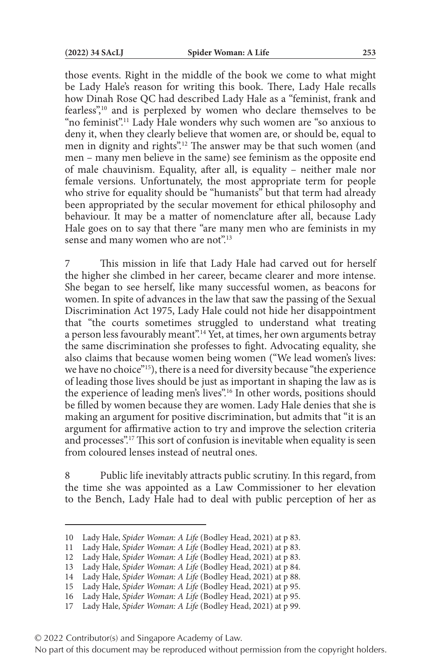those events. Right in the middle of the book we come to what might be Lady Hale's reason for writing this book. There, Lady Hale recalls how Dinah Rose QC had described Lady Hale as a "feminist, frank and fearless",10 and is perplexed by women who declare themselves to be "no feminist".11 Lady Hale wonders why such women are "so anxious to deny it, when they clearly believe that women are, or should be, equal to men in dignity and rights".12 The answer may be that such women (and men – many men believe in the same) see feminism as the opposite end of male chauvinism. Equality, after all, is equality – neither male nor female versions. Unfortunately, the most appropriate term for people who strive for equality should be "humanists" but that term had already been appropriated by the secular movement for ethical philosophy and behaviour. It may be a matter of nomenclature after all, because Lady Hale goes on to say that there "are many men who are feminists in my sense and many women who are not".<sup>13</sup>

7 This mission in life that Lady Hale had carved out for herself the higher she climbed in her career, became clearer and more intense. She began to see herself, like many successful women, as beacons for women. In spite of advances in the law that saw the passing of the Sexual Discrimination Act 1975, Lady Hale could not hide her disappointment that "the courts sometimes struggled to understand what treating a person less favourably meant".<sup>14</sup> Yet, at times, her own arguments betray the same discrimination she professes to fight. Advocating equality, she also claims that because women being women ("We lead women's lives: we have no choice"15), there is a need for diversity because "the experience of leading those lives should be just as important in shaping the law as is the experience of leading men's lives".<sup>16</sup> In other words, positions should be filled by women because they are women. Lady Hale denies that she is making an argument for positive discrimination, but admits that "it is an argument for affirmative action to try and improve the selection criteria and processes".17 This sort of confusion is inevitable when equality is seen from coloured lenses instead of neutral ones.

Public life inevitably attracts public scrutiny. In this regard, from the time she was appointed as a Law Commissioner to her elevation to the Bench, Lady Hale had to deal with public perception of her as

<sup>10</sup> Lady Hale, *Spider Woman: A Life* (Bodley Head, 2021) at p 83.

<sup>11</sup> Lady Hale, *Spider Woman: A Life* (Bodley Head, 2021) at p 83.

<sup>12</sup> Lady Hale, *Spider Woman: A Life* (Bodley Head, 2021) at p 83.

<sup>13</sup> Lady Hale, *Spider Woman: A Life* (Bodley Head, 2021) at p 84.

<sup>14</sup> Lady Hale, *Spider Woman: A Life* (Bodley Head, 2021) at p 88.

<sup>15</sup> Lady Hale, *Spider Woman: A Life* (Bodley Head, 2021) at p 95.

<sup>16</sup> Lady Hale, *Spider Woman: A Life* (Bodley Head, 2021) at p 95.

<sup>17</sup> Lady Hale, *Spider Woman: A Life* (Bodley Head, 2021) at p 99.

<sup>© 2022</sup> Contributor(s) and Singapore Academy of Law.

No part of this document may be reproduced without permission from the copyright holders.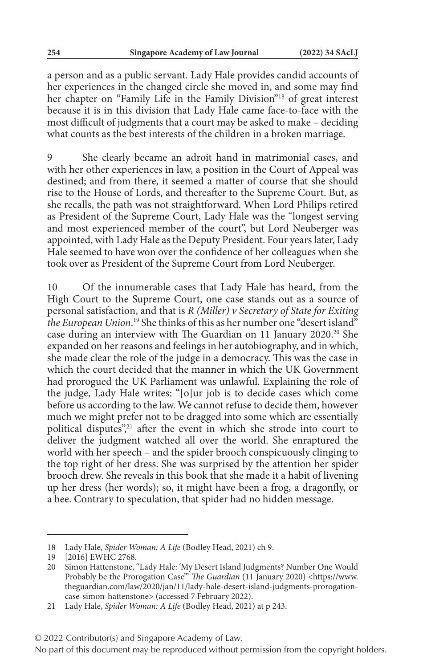a person and as a public servant. Lady Hale provides candid accounts of her experiences in the changed circle she moved in, and some may find her chapter on "Family Life in the Family Division"18 of great interest because it is in this division that Lady Hale came face-to-face with the most difficult of judgments that a court may be asked to make – deciding what counts as the best interests of the children in a broken marriage.

She clearly became an adroit hand in matrimonial cases, and with her other experiences in law, a position in the Court of Appeal was destined; and from there, it seemed a matter of course that she should rise to the House of Lords, and thereafter to the Supreme Court. But, as she recalls, the path was not straightforward. When Lord Philips retired as President of the Supreme Court, Lady Hale was the "longest serving and most experienced member of the court", but Lord Neuberger was appointed, with Lady Hale as the Deputy President. Four years later, Lady Hale seemed to have won over the confidence of her colleagues when she took over as President of the Supreme Court from Lord Neuberger.

10 Of the innumerable cases that Lady Hale has heard, from the High Court to the Supreme Court, one case stands out as a source of personal satisfaction, and that is *R (Miller) v Secretary of State for Exiting the European Union*. 19 She thinks of this as her number one "desert island" case during an interview with The Guardian on 11 January 2020.<sup>20</sup> She expanded on her reasons and feelings in her autobiography, and in which, she made clear the role of the judge in a democracy. This was the case in which the court decided that the manner in which the UK Government had prorogued the UK Parliament was unlawful. Explaining the role of the judge, Lady Hale writes: "[o]ur job is to decide cases which come before us according to the law. We cannot refuse to decide them, however much we might prefer not to be dragged into some which are essentially political disputes",<sup>21</sup> after the event in which she strode into court to deliver the judgment watched all over the world. She enraptured the world with her speech – and the spider brooch conspicuously clinging to the top right of her dress. She was surprised by the attention her spider brooch drew. She reveals in this book that she made it a habit of livening up her dress (her words); so, it might have been a frog, a dragonfly, or a bee. Contrary to speculation, that spider had no hidden message.

<sup>18</sup> Lady Hale, *Spider Woman: A Life* (Bodley Head, 2021) ch 9.

<sup>19</sup> [2016] EWHC 2768.

<sup>20</sup> Simon Hattenstone, "Lady Hale: 'My Desert Island Judgments? Number One Would Probably be the Prorogation Case'" *The Guardian* (11 January 2020) <https://www. theguardian.com/law/2020/jan/11/lady-hale-desert-island-judgments-prorogationcase-simon-hattenstone> (accessed 7 February 2022).

<sup>21</sup> Lady Hale, *Spider Woman: A Life* (Bodley Head, 2021) at p 243.

<sup>© 2022</sup> Contributor(s) and Singapore Academy of Law.

No part of this document may be reproduced without permission from the copyright holders.